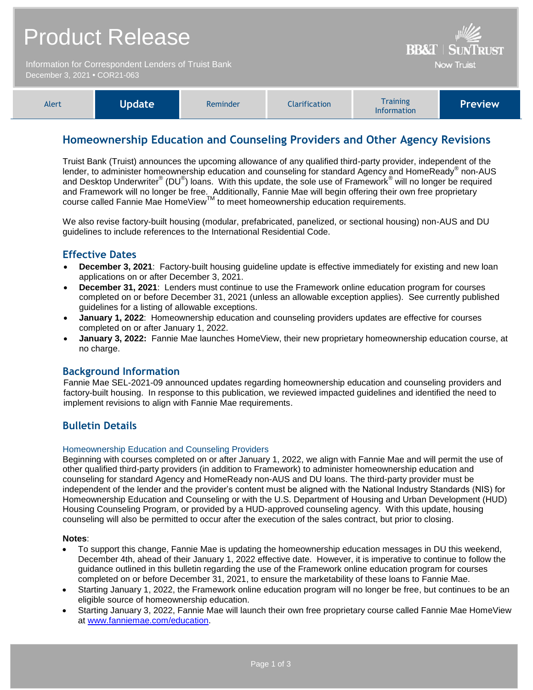| <b>Product Release</b><br>Information for Correspondent Lenders of Truist Bank<br>December 3, 2021 • COR21-063 |               |          |                      |                                       | <b>BB&amp;T   SUNTRUST</b><br><b>Now Truist</b> |
|----------------------------------------------------------------------------------------------------------------|---------------|----------|----------------------|---------------------------------------|-------------------------------------------------|
| Alert                                                                                                          | <b>Update</b> | Reminder | <b>Clarification</b> | <b>Training</b><br><b>Information</b> | <b>Preview</b>                                  |

# **Homeownership Education and Counseling Providers and Other Agency Revisions**

Truist Bank (Truist) announces the upcoming allowance of any qualified third-party provider, independent of the lender, to administer homeownership education and counseling for standard Agency and HomeReady® non-AUS and Desktop Underwriter® (DU®) loans. With this update, the sole use of Framework® will no longer be required and Framework will no longer be free. Additionally, Fannie Mae will begin offering their own free proprietary course called Fannie Mae HomeView™ to meet homeownership education requirements.

We also revise factory-built housing (modular, prefabricated, panelized, or sectional housing) non-AUS and DU guidelines to include references to the International Residential Code.

# **Effective Dates**

- **December 3, 2021**: Factory-built housing guideline update is effective immediately for existing and new loan applications on or after December 3, 2021.
- **December 31, 2021**: Lenders must continue to use the Framework online education program for courses completed on or before December 31, 2021 (unless an allowable exception applies). See currently published guidelines for a listing of allowable exceptions.
- **January 1, 2022**: Homeownership education and counseling providers updates are effective for courses completed on or after January 1, 2022.
- **January 3, 2022:** Fannie Mae launches HomeView, their new proprietary homeownership education course, at no charge.

## **Background Information**

Fannie Mae SEL-2021-09 announced updates regarding homeownership education and counseling providers and factory-built housing. In response to this publication, we reviewed impacted guidelines and identified the need to implement revisions to align with Fannie Mae requirements.

# **Bulletin Details**

## Homeownership Education and Counseling Providers

Beginning with courses completed on or after January 1, 2022, we align with Fannie Mae and will permit the use of other qualified third-party providers (in addition to Framework) to administer homeownership education and counseling for standard Agency and HomeReady non-AUS and DU loans. The third-party provider must be independent of the lender and the provider's content must be aligned with the National Industry Standards (NIS) for Homeownership Education and Counseling or with the U.S. Department of Housing and Urban Development (HUD) Housing Counseling Program, or provided by a HUD-approved counseling agency. With this update, housing counseling will also be permitted to occur after the execution of the sales contract, but prior to closing.

## **Notes**:

- To support this change, Fannie Mae is updating the homeownership education messages in DU this weekend, December 4th, ahead of their January 1, 2022 effective date. However, it is imperative to continue to follow the guidance outlined in this bulletin regarding the use of the Framework online education program for courses completed on or before December 31, 2021, to ensure the marketability of these loans to Fannie Mae.
- Starting January 1, 2022, the Framework online education program will no longer be free, but continues to be an eligible source of homeownership education.
- Starting January 3, 2022, Fannie Mae will launch their own free proprietary course called Fannie Mae HomeView at [www.fanniemae.com/education.](http://www.fanniemae.com/education)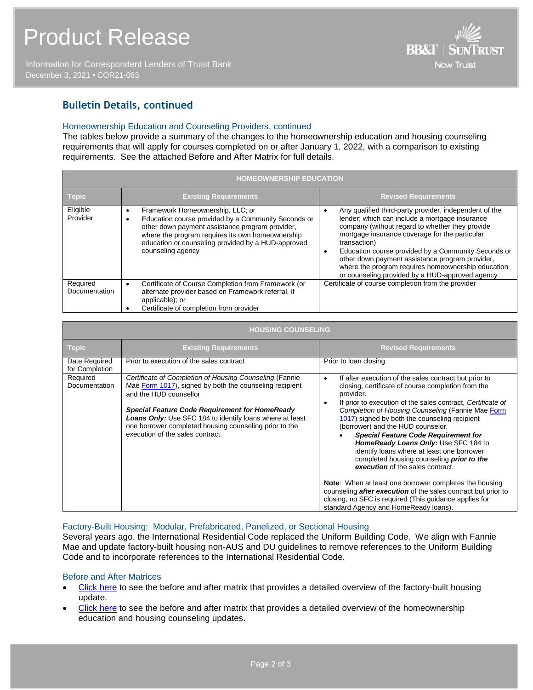Information for Correspondent Lenders of Truist Bank December 3, 2021 **•** COR21-063



# **Bulletin Details, continued**

### Homeownership Education and Counseling Providers, continued

The tables below provide a summary of the changes to the homeownership education and housing counseling requirements that will apply for courses completed on or after January 1, 2022, with a comparison to existing requirements. See the attached Before and After Matrix for full details.

| <b>HOMEOWNERSHIP EDUCATION</b>   |                                                                                                                                                                                                                                                                           |                                                                                                                                                                                                                                                                                                                                                                                                                                                  |  |  |  |  |
|----------------------------------|---------------------------------------------------------------------------------------------------------------------------------------------------------------------------------------------------------------------------------------------------------------------------|--------------------------------------------------------------------------------------------------------------------------------------------------------------------------------------------------------------------------------------------------------------------------------------------------------------------------------------------------------------------------------------------------------------------------------------------------|--|--|--|--|
| <b>Topic</b>                     | <b>Existing Requirements</b>                                                                                                                                                                                                                                              | <b>Revised Requirements</b>                                                                                                                                                                                                                                                                                                                                                                                                                      |  |  |  |  |
| Eligible<br>Provider             | Framework Homeownership, LLC; or<br>Education course provided by a Community Seconds or<br>other down payment assistance program provider,<br>where the program requires its own homeownership<br>education or counseling provided by a HUD-approved<br>counseling agency | Any qualified third-party provider, independent of the<br>lender; which can include a mortgage insurance<br>company (without regard to whether they provide<br>mortgage insurance coverage for the particular<br>transaction)<br>Education course provided by a Community Seconds or<br>other down payment assistance program provider,<br>where the program requires homeownership education<br>or counseling provided by a HUD-approved agency |  |  |  |  |
| Required<br><b>Documentation</b> | Certificate of Course Completion from Framework (or<br>alternate provider based on Framework referral, if<br>applicable); or<br>Certificate of completion from provider                                                                                                   | Certificate of course completion from the provider                                                                                                                                                                                                                                                                                                                                                                                               |  |  |  |  |

| <b>HOUSING COUNSELING</b>        |                                                                                                                                                                                                                                                                                                                                                                        |                                                                                                                                                                                                                                                                                                                                                                                                                                                                                                                                                                                                                                                                                                                                                                         |  |  |  |
|----------------------------------|------------------------------------------------------------------------------------------------------------------------------------------------------------------------------------------------------------------------------------------------------------------------------------------------------------------------------------------------------------------------|-------------------------------------------------------------------------------------------------------------------------------------------------------------------------------------------------------------------------------------------------------------------------------------------------------------------------------------------------------------------------------------------------------------------------------------------------------------------------------------------------------------------------------------------------------------------------------------------------------------------------------------------------------------------------------------------------------------------------------------------------------------------------|--|--|--|
| <b>Topic</b>                     | <b>Existing Requirements</b>                                                                                                                                                                                                                                                                                                                                           | <b>Revised Requirements</b>                                                                                                                                                                                                                                                                                                                                                                                                                                                                                                                                                                                                                                                                                                                                             |  |  |  |
| Date Required<br>for Completion  | Prior to execution of the sales contract                                                                                                                                                                                                                                                                                                                               | Prior to loan closing                                                                                                                                                                                                                                                                                                                                                                                                                                                                                                                                                                                                                                                                                                                                                   |  |  |  |
| Required<br><b>Documentation</b> | Certificate of Completion of Housing Counseling (Fannie<br>Mae Form 1017), signed by both the counseling recipient<br>and the HUD counsellor<br><b>Special Feature Code Requirement for HomeReady</b><br><b>Loans Only:</b> Use SFC 184 to identify loans where at least<br>one borrower completed housing counseling prior to the<br>execution of the sales contract. | If after execution of the sales contract but prior to<br>٠<br>closing, certificate of course completion from the<br>provider.<br>If prior to execution of the sales contract, Certificate of<br>Completion of Housing Counseling (Fannie Mae Form<br>1017) signed by both the counseling recipient<br>(borrower) and the HUD counselor.<br><b>Special Feature Code Requirement for</b><br>HomeReady Loans Only: Use SFC 184 to<br>identify loans where at least one borrower<br>completed housing counseling <b>prior to the</b><br>execution of the sales contract.<br><b>Note:</b> When at least one borrower completes the housing<br>counseling <i>after execution</i> of the sales contract but prior to<br>closing, no SFC is required (This quidance applies for |  |  |  |

## Factory-Built Housing: Modular, Prefabricated, Panelized, or Sectional Housing

Several years ago, the International Residential Code replaced the Uniform Building Code. We align with Fannie Mae and update factory-built housing non-AUS and DU guidelines to remove references to the Uniform Building Code and to incorporate references to the International Residential Code.

#### Before and After Matrices

- [Click here](http://www.truistsellerguide.com/manual/cor/products/Cr21-063BA-FactoryBuiltHousing.pdf) to see the before and after matrix that provides a detailed overview of the factory-built housing update.
- [Click here](http://www.truistsellerguide.com/manual/cor/products/Cr21-063BA-HomeownershipEducation.pdf) to see the before and after matrix that provides a detailed overview of the homeownership education and housing counseling updates.